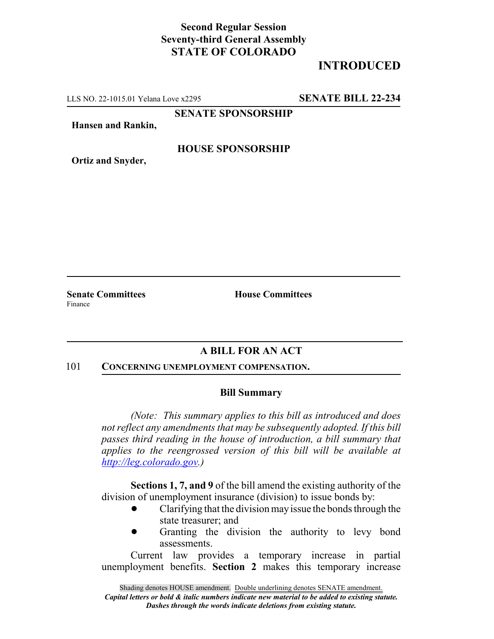## **Second Regular Session Seventy-third General Assembly STATE OF COLORADO**

# **INTRODUCED**

LLS NO. 22-1015.01 Yelana Love x2295 **SENATE BILL 22-234**

**SENATE SPONSORSHIP**

**Hansen and Rankin,**

### **HOUSE SPONSORSHIP**

**Ortiz and Snyder,**

**Senate Committees House Committees** Finance

## **A BILL FOR AN ACT**

#### 101 **CONCERNING UNEMPLOYMENT COMPENSATION.**

### **Bill Summary**

*(Note: This summary applies to this bill as introduced and does not reflect any amendments that may be subsequently adopted. If this bill passes third reading in the house of introduction, a bill summary that applies to the reengrossed version of this bill will be available at http://leg.colorado.gov.)*

**Sections 1, 7, and 9** of the bill amend the existing authority of the division of unemployment insurance (division) to issue bonds by:

- ! Clarifying that the division may issue the bonds through the state treasurer; and
- Granting the division the authority to levy bond assessments.

Current law provides a temporary increase in partial unemployment benefits. **Section 2** makes this temporary increase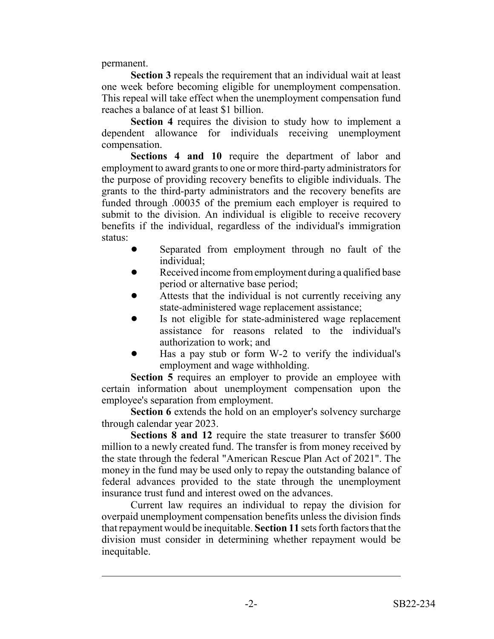permanent.

**Section 3** repeals the requirement that an individual wait at least one week before becoming eligible for unemployment compensation. This repeal will take effect when the unemployment compensation fund reaches a balance of at least \$1 billion.

**Section 4** requires the division to study how to implement a dependent allowance for individuals receiving unemployment compensation.

**Sections 4 and 10** require the department of labor and employment to award grants to one or more third-party administrators for the purpose of providing recovery benefits to eligible individuals. The grants to the third-party administrators and the recovery benefits are funded through .00035 of the premium each employer is required to submit to the division. An individual is eligible to receive recovery benefits if the individual, regardless of the individual's immigration status:

- Separated from employment through no fault of the individual;
- Received income from employment during a qualified base period or alternative base period;
- Attests that the individual is not currently receiving any state-administered wage replacement assistance;
- Is not eligible for state-administered wage replacement assistance for reasons related to the individual's authorization to work; and
- ! Has a pay stub or form W-2 to verify the individual's employment and wage withholding.

**Section 5** requires an employer to provide an employee with certain information about unemployment compensation upon the employee's separation from employment.

**Section 6** extends the hold on an employer's solvency surcharge through calendar year 2023.

**Sections 8 and 12** require the state treasurer to transfer \$600 million to a newly created fund. The transfer is from money received by the state through the federal "American Rescue Plan Act of 2021". The money in the fund may be used only to repay the outstanding balance of federal advances provided to the state through the unemployment insurance trust fund and interest owed on the advances.

Current law requires an individual to repay the division for overpaid unemployment compensation benefits unless the division finds that repayment would be inequitable. **Section 11** sets forth factors that the division must consider in determining whether repayment would be inequitable.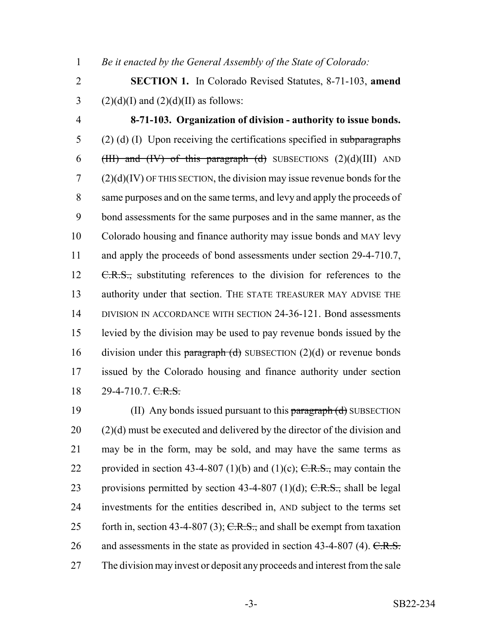1 *Be it enacted by the General Assembly of the State of Colorado:*

2 **SECTION 1.** In Colorado Revised Statutes, 8-71-103, **amend** 3 (2)(d)(I) and (2)(d)(II) as follows:

4 **8-71-103. Organization of division - authority to issue bonds.**  $5$  (2) (d) (I) Upon receiving the certifications specified in subparagraphs 6 (HII) and (IV) of this paragraph (d) SUBSECTIONS  $(2)(d)(III)$  AND  $7 \qquad (2)(d)(IV)$  OF THIS SECTION, the division may issue revenue bonds for the 8 same purposes and on the same terms, and levy and apply the proceeds of 9 bond assessments for the same purposes and in the same manner, as the 10 Colorado housing and finance authority may issue bonds and MAY levy 11 and apply the proceeds of bond assessments under section 29-4-710.7, 12 C.R.S., substituting references to the division for references to the 13 authority under that section. THE STATE TREASURER MAY ADVISE THE 14 DIVISION IN ACCORDANCE WITH SECTION 24-36-121. Bond assessments 15 levied by the division may be used to pay revenue bonds issued by the 16 division under this paragraph  $(d)$  SUBSECTION  $(2)(d)$  or revenue bonds 17 issued by the Colorado housing and finance authority under section 18 29-4-710.7. C.R.S.

19 (II) Any bonds issued pursuant to this paragraph (d) SUBSECTION  $20$  (2)(d) must be executed and delivered by the director of the division and 21 may be in the form, may be sold, and may have the same terms as 22 provided in section 43-4-807 (1)(b) and (1)(c);  $C.R.S.,$  may contain the 23 provisions permitted by section  $43-4-807$  (1)(d); C.R.S., shall be legal 24 investments for the entities described in, AND subject to the terms set 25 forth in, section 43-4-807 (3);  $C.R.S.,$  and shall be exempt from taxation 26 and assessments in the state as provided in section  $43-4-807$  (4). C.R.S. 27 The division may invest or deposit any proceeds and interest from the sale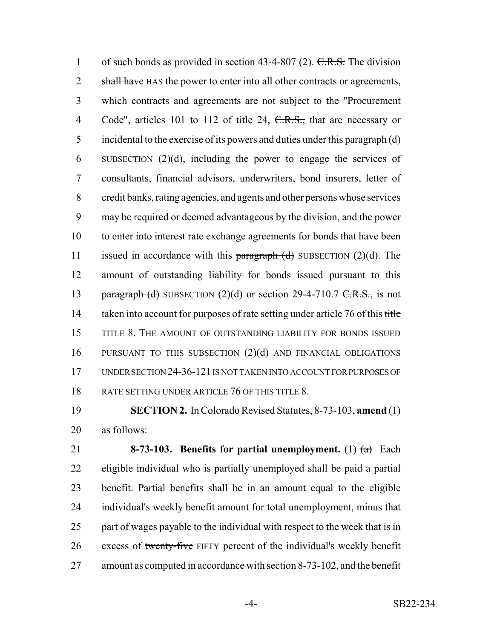1 of such bonds as provided in section  $43-4-807$  (2). C.R.S. The division 2 shall have HAS the power to enter into all other contracts or agreements, which contracts and agreements are not subject to the "Procurement 4 Code", articles 101 to 112 of title 24, C.R.S., that are necessary or 5 incidental to the exercise of its powers and duties under this paragraph  $(d)$  SUBSECTION (2)(d), including the power to engage the services of consultants, financial advisors, underwriters, bond insurers, letter of credit banks, rating agencies, and agents and other persons whose services may be required or deemed advantageous by the division, and the power to enter into interest rate exchange agreements for bonds that have been 11 issued in accordance with this  $\frac{1}{2}$  paragraph (d) SUBSECTION (2)(d). The amount of outstanding liability for bonds issued pursuant to this 13 paragraph (d) SUBSECTION  $(2)(d)$  or section 29-4-710.7 C.R.S., is not 14 taken into account for purposes of rate setting under article 76 of this title TITLE 8. THE AMOUNT OF OUTSTANDING LIABILITY FOR BONDS ISSUED PURSUANT TO THIS SUBSECTION (2)(d) AND FINANCIAL OBLIGATIONS UNDER SECTION 24-36-121 IS NOT TAKEN INTO ACCOUNT FOR PURPOSES OF 18 RATE SETTING UNDER ARTICLE 76 OF THIS TITLE 8.

 **SECTION 2.** In Colorado Revised Statutes, 8-73-103, **amend** (1) as follows:

 **8-73-103. Benefits for partial unemployment.** (1) (a) Each eligible individual who is partially unemployed shall be paid a partial benefit. Partial benefits shall be in an amount equal to the eligible individual's weekly benefit amount for total unemployment, minus that 25 part of wages payable to the individual with respect to the week that is in 26 excess of twenty-five FIFTY percent of the individual's weekly benefit amount as computed in accordance with section 8-73-102, and the benefit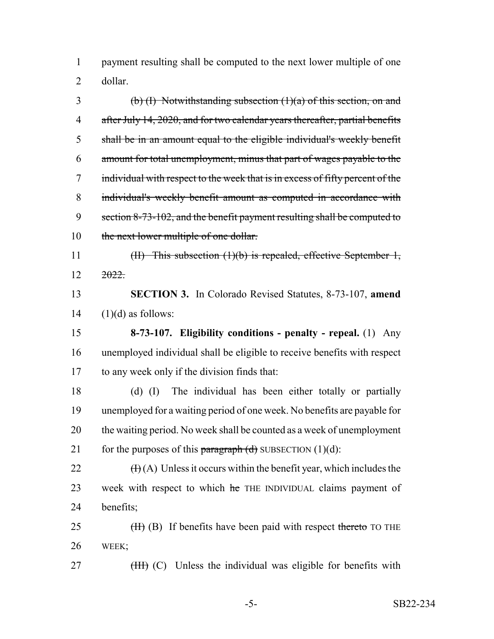payment resulting shall be computed to the next lower multiple of one dollar.

3 (b) (I) Notwithstanding subsection  $(1)(a)$  of this section, on and 4 after July 14, 2020, and for two calendar years thereafter, partial benefits shall be in an amount equal to the eligible individual's weekly benefit amount for total unemployment, minus that part of wages payable to the individual with respect to the week that is in excess of fifty percent of the individual's weekly benefit amount as computed in accordance with 9 section 8-73-102, and the benefit payment resulting shall be computed to 10 the next lower multiple of one dollar.

 (II) This subsection (1)(b) is repealed, effective September 1,  $12 \frac{2022}{20}$ 

 **SECTION 3.** In Colorado Revised Statutes, 8-73-107, **amend** (1)(d) as follows:

 **8-73-107. Eligibility conditions - penalty - repeal.** (1) Any unemployed individual shall be eligible to receive benefits with respect to any week only if the division finds that:

 (d) (I) The individual has been either totally or partially unemployed for a waiting period of one week. No benefits are payable for the waiting period. No week shall be counted as a week of unemployment 21 for the purposes of this paragraph  $(d)$  SUBSECTION  $(1)(d)$ :

22  $(H(A))$  Unless it occurs within the benefit year, which includes the 23 week with respect to which he THE INDIVIDUAL claims payment of benefits;

25 (H) (B) If benefits have been paid with respect thereto TO THE WEEK;

27 (HH) (C) Unless the individual was eligible for benefits with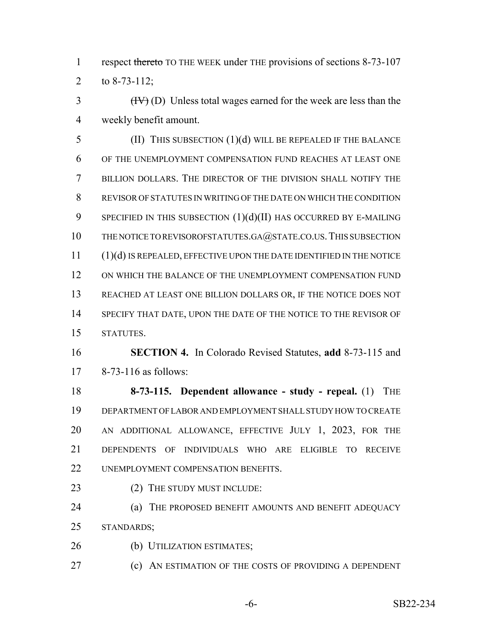1 respect thereto TO THE WEEK under THE provisions of sections 8-73-107 to 8-73-112;

 $\left(\frac{H}{V}\right)(D)$  Unless total wages earned for the week are less than the weekly benefit amount.

 (II) THIS SUBSECTION (1)(d) WILL BE REPEALED IF THE BALANCE OF THE UNEMPLOYMENT COMPENSATION FUND REACHES AT LEAST ONE BILLION DOLLARS. THE DIRECTOR OF THE DIVISION SHALL NOTIFY THE REVISOR OF STATUTES IN WRITING OF THE DATE ON WHICH THE CONDITION 9 SPECIFIED IN THIS SUBSECTION  $(1)(d)(II)$  has occurred by E-MAILING 10 THE NOTICE TO REVISOROFSTATUTES.GA@STATE.CO.US. THIS SUBSECTION (1)(d) IS REPEALED, EFFECTIVE UPON THE DATE IDENTIFIED IN THE NOTICE ON WHICH THE BALANCE OF THE UNEMPLOYMENT COMPENSATION FUND REACHED AT LEAST ONE BILLION DOLLARS OR, IF THE NOTICE DOES NOT 14 SPECIFY THAT DATE, UPON THE DATE OF THE NOTICE TO THE REVISOR OF STATUTES.

 **SECTION 4.** In Colorado Revised Statutes, **add** 8-73-115 and 8-73-116 as follows:

 **8-73-115. Dependent allowance - study - repeal.** (1) THE DEPARTMENT OF LABOR AND EMPLOYMENT SHALL STUDY HOW TO CREATE AN ADDITIONAL ALLOWANCE, EFFECTIVE JULY 1, 2023, FOR THE DEPENDENTS OF INDIVIDUALS WHO ARE ELIGIBLE TO RECEIVE 22 UNEMPLOYMENT COMPENSATION BENEFITS.

23 (2) THE STUDY MUST INCLUDE:

 (a) THE PROPOSED BENEFIT AMOUNTS AND BENEFIT ADEQUACY STANDARDS;

(b) UTILIZATION ESTIMATES;

(c) AN ESTIMATION OF THE COSTS OF PROVIDING A DEPENDENT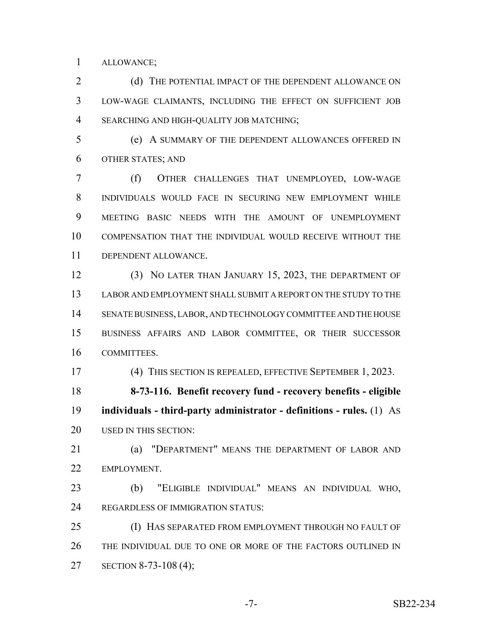ALLOWANCE;

2 (d) THE POTENTIAL IMPACT OF THE DEPENDENT ALLOWANCE ON LOW-WAGE CLAIMANTS, INCLUDING THE EFFECT ON SUFFICIENT JOB SEARCHING AND HIGH-QUALITY JOB MATCHING;

 (e) A SUMMARY OF THE DEPENDENT ALLOWANCES OFFERED IN OTHER STATES; AND

 (f) OTHER CHALLENGES THAT UNEMPLOYED, LOW-WAGE INDIVIDUALS WOULD FACE IN SECURING NEW EMPLOYMENT WHILE MEETING BASIC NEEDS WITH THE AMOUNT OF UNEMPLOYMENT COMPENSATION THAT THE INDIVIDUAL WOULD RECEIVE WITHOUT THE DEPENDENT ALLOWANCE.

 (3) NO LATER THAN JANUARY 15, 2023, THE DEPARTMENT OF LABOR AND EMPLOYMENT SHALL SUBMIT A REPORT ON THE STUDY TO THE SENATE BUSINESS, LABOR, AND TECHNOLOGY COMMITTEE AND THE HOUSE BUSINESS AFFAIRS AND LABOR COMMITTEE, OR THEIR SUCCESSOR COMMITTEES.

(4) THIS SECTION IS REPEALED, EFFECTIVE SEPTEMBER 1, 2023.

 **8-73-116. Benefit recovery fund - recovery benefits - eligible individuals - third-party administrator - definitions - rules.** (1) AS 20 USED IN THIS SECTION:

 (a) "DEPARTMENT" MEANS THE DEPARTMENT OF LABOR AND EMPLOYMENT.

 (b) "ELIGIBLE INDIVIDUAL" MEANS AN INDIVIDUAL WHO, 24 REGARDLESS OF IMMIGRATION STATUS:

 (I) HAS SEPARATED FROM EMPLOYMENT THROUGH NO FAULT OF THE INDIVIDUAL DUE TO ONE OR MORE OF THE FACTORS OUTLINED IN SECTION 8-73-108 (4);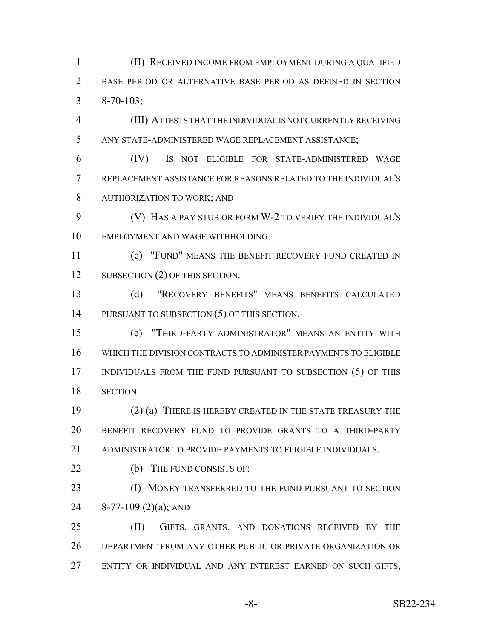(II) RECEIVED INCOME FROM EMPLOYMENT DURING A QUALIFIED BASE PERIOD OR ALTERNATIVE BASE PERIOD AS DEFINED IN SECTION 8-70-103;

 (III) ATTESTS THAT THE INDIVIDUAL IS NOT CURRENTLY RECEIVING ANY STATE-ADMINISTERED WAGE REPLACEMENT ASSISTANCE;

 (IV) IS NOT ELIGIBLE FOR STATE-ADMINISTERED WAGE REPLACEMENT ASSISTANCE FOR REASONS RELATED TO THE INDIVIDUAL'S AUTHORIZATION TO WORK; AND

 (V) HAS A PAY STUB OR FORM W-2 TO VERIFY THE INDIVIDUAL'S EMPLOYMENT AND WAGE WITHHOLDING.

 (c) "FUND" MEANS THE BENEFIT RECOVERY FUND CREATED IN 12 SUBSECTION (2) OF THIS SECTION.

 (d) "RECOVERY BENEFITS" MEANS BENEFITS CALCULATED 14 PURSUANT TO SUBSECTION (5) OF THIS SECTION.

 (e) "THIRD-PARTY ADMINISTRATOR" MEANS AN ENTITY WITH WHICH THE DIVISION CONTRACTS TO ADMINISTER PAYMENTS TO ELIGIBLE 17 INDIVIDUALS FROM THE FUND PURSUANT TO SUBSECTION (5) OF THIS SECTION.

 (2) (a) THERE IS HEREBY CREATED IN THE STATE TREASURY THE BENEFIT RECOVERY FUND TO PROVIDE GRANTS TO A THIRD-PARTY 21 ADMINISTRATOR TO PROVIDE PAYMENTS TO ELIGIBLE INDIVIDUALS.

22 (b) THE FUND CONSISTS OF:

**(I) MONEY TRANSFERRED TO THE FUND PURSUANT TO SECTION** 8-77-109 (2)(a); AND

 (II) GIFTS, GRANTS, AND DONATIONS RECEIVED BY THE DEPARTMENT FROM ANY OTHER PUBLIC OR PRIVATE ORGANIZATION OR ENTITY OR INDIVIDUAL AND ANY INTEREST EARNED ON SUCH GIFTS,

-8- SB22-234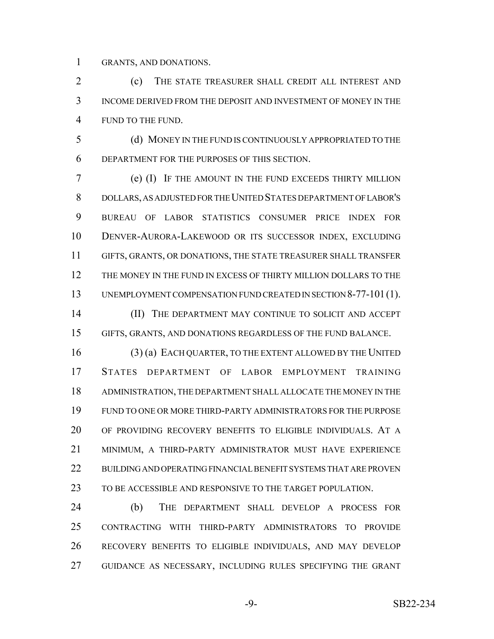GRANTS, AND DONATIONS.

2 (c) THE STATE TREASURER SHALL CREDIT ALL INTEREST AND INCOME DERIVED FROM THE DEPOSIT AND INVESTMENT OF MONEY IN THE FUND TO THE FUND.

 (d) MONEY IN THE FUND IS CONTINUOUSLY APPROPRIATED TO THE DEPARTMENT FOR THE PURPOSES OF THIS SECTION.

 (e) (I) IF THE AMOUNT IN THE FUND EXCEEDS THIRTY MILLION DOLLARS, AS ADJUSTED FOR THE UNITED STATES DEPARTMENT OF LABOR'S BUREAU OF LABOR STATISTICS CONSUMER PRICE INDEX FOR DENVER-AURORA-LAKEWOOD OR ITS SUCCESSOR INDEX, EXCLUDING GIFTS, GRANTS, OR DONATIONS, THE STATE TREASURER SHALL TRANSFER THE MONEY IN THE FUND IN EXCESS OF THIRTY MILLION DOLLARS TO THE UNEMPLOYMENT COMPENSATION FUND CREATED IN SECTION 8-77-101(1).

**(II)** THE DEPARTMENT MAY CONTINUE TO SOLICIT AND ACCEPT GIFTS, GRANTS, AND DONATIONS REGARDLESS OF THE FUND BALANCE.

 (3) (a) EACH QUARTER, TO THE EXTENT ALLOWED BY THE UNITED STATES DEPARTMENT OF LABOR EMPLOYMENT TRAINING ADMINISTRATION, THE DEPARTMENT SHALL ALLOCATE THE MONEY IN THE FUND TO ONE OR MORE THIRD-PARTY ADMINISTRATORS FOR THE PURPOSE OF PROVIDING RECOVERY BENEFITS TO ELIGIBLE INDIVIDUALS. AT A MINIMUM, A THIRD-PARTY ADMINISTRATOR MUST HAVE EXPERIENCE BUILDING AND OPERATING FINANCIAL BENEFIT SYSTEMS THAT ARE PROVEN TO BE ACCESSIBLE AND RESPONSIVE TO THE TARGET POPULATION.

 (b) THE DEPARTMENT SHALL DEVELOP A PROCESS FOR CONTRACTING WITH THIRD-PARTY ADMINISTRATORS TO PROVIDE RECOVERY BENEFITS TO ELIGIBLE INDIVIDUALS, AND MAY DEVELOP GUIDANCE AS NECESSARY, INCLUDING RULES SPECIFYING THE GRANT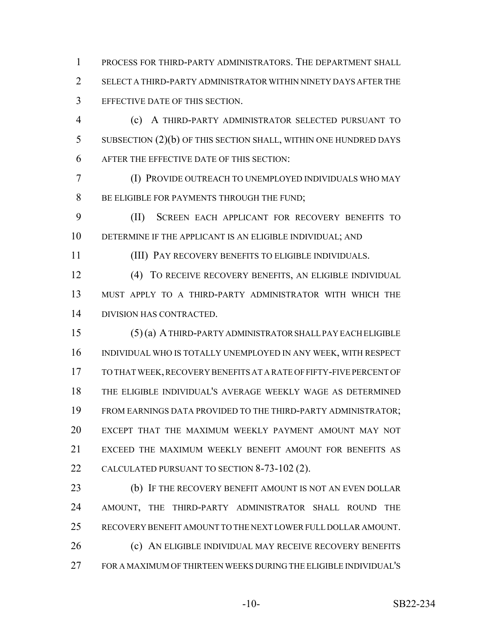PROCESS FOR THIRD-PARTY ADMINISTRATORS. THE DEPARTMENT SHALL SELECT A THIRD-PARTY ADMINISTRATOR WITHIN NINETY DAYS AFTER THE EFFECTIVE DATE OF THIS SECTION.

 (c) A THIRD-PARTY ADMINISTRATOR SELECTED PURSUANT TO SUBSECTION (2)(b) OF THIS SECTION SHALL, WITHIN ONE HUNDRED DAYS AFTER THE EFFECTIVE DATE OF THIS SECTION:

 (I) PROVIDE OUTREACH TO UNEMPLOYED INDIVIDUALS WHO MAY 8 BE ELIGIBLE FOR PAYMENTS THROUGH THE FUND;

 (II) SCREEN EACH APPLICANT FOR RECOVERY BENEFITS TO DETERMINE IF THE APPLICANT IS AN ELIGIBLE INDIVIDUAL; AND

(III) PAY RECOVERY BENEFITS TO ELIGIBLE INDIVIDUALS.

 (4) TO RECEIVE RECOVERY BENEFITS, AN ELIGIBLE INDIVIDUAL MUST APPLY TO A THIRD-PARTY ADMINISTRATOR WITH WHICH THE DIVISION HAS CONTRACTED.

 (5) (a) A THIRD-PARTY ADMINISTRATOR SHALL PAY EACH ELIGIBLE INDIVIDUAL WHO IS TOTALLY UNEMPLOYED IN ANY WEEK, WITH RESPECT TO THAT WEEK, RECOVERY BENEFITS AT A RATE OF FIFTY-FIVE PERCENT OF THE ELIGIBLE INDIVIDUAL'S AVERAGE WEEKLY WAGE AS DETERMINED FROM EARNINGS DATA PROVIDED TO THE THIRD-PARTY ADMINISTRATOR; EXCEPT THAT THE MAXIMUM WEEKLY PAYMENT AMOUNT MAY NOT EXCEED THE MAXIMUM WEEKLY BENEFIT AMOUNT FOR BENEFITS AS CALCULATED PURSUANT TO SECTION 8-73-102 (2).

 (b) IF THE RECOVERY BENEFIT AMOUNT IS NOT AN EVEN DOLLAR AMOUNT, THE THIRD-PARTY ADMINISTRATOR SHALL ROUND THE RECOVERY BENEFIT AMOUNT TO THE NEXT LOWER FULL DOLLAR AMOUNT. 26 (c) AN ELIGIBLE INDIVIDUAL MAY RECEIVE RECOVERY BENEFITS FOR A MAXIMUM OF THIRTEEN WEEKS DURING THE ELIGIBLE INDIVIDUAL'S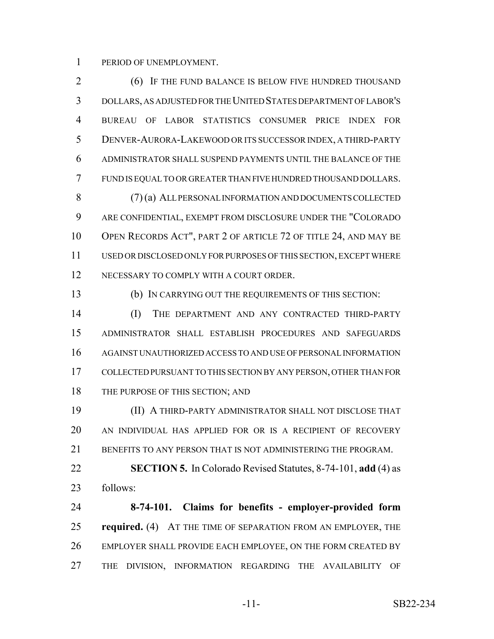PERIOD OF UNEMPLOYMENT.

 (6) IF THE FUND BALANCE IS BELOW FIVE HUNDRED THOUSAND DOLLARS, AS ADJUSTED FOR THE UNITED STATES DEPARTMENT OF LABOR'S BUREAU OF LABOR STATISTICS CONSUMER PRICE INDEX FOR DENVER-AURORA-LAKEWOOD OR ITS SUCCESSOR INDEX, A THIRD-PARTY ADMINISTRATOR SHALL SUSPEND PAYMENTS UNTIL THE BALANCE OF THE FUND IS EQUAL TO OR GREATER THAN FIVE HUNDRED THOUSAND DOLLARS. (7) (a) ALL PERSONAL INFORMATION AND DOCUMENTS COLLECTED ARE CONFIDENTIAL, EXEMPT FROM DISCLOSURE UNDER THE "COLORADO 10 OPEN RECORDS ACT", PART 2 OF ARTICLE 72 OF TITLE 24, AND MAY BE

 USED OR DISCLOSED ONLY FOR PURPOSES OF THIS SECTION, EXCEPT WHERE 12 NECESSARY TO COMPLY WITH A COURT ORDER.

(b) IN CARRYING OUT THE REQUIREMENTS OF THIS SECTION:

 (I) THE DEPARTMENT AND ANY CONTRACTED THIRD-PARTY ADMINISTRATOR SHALL ESTABLISH PROCEDURES AND SAFEGUARDS AGAINST UNAUTHORIZED ACCESS TO AND USE OF PERSONAL INFORMATION COLLECTED PURSUANT TO THIS SECTION BY ANY PERSON, OTHER THAN FOR 18 THE PURPOSE OF THIS SECTION; AND

 (II) A THIRD-PARTY ADMINISTRATOR SHALL NOT DISCLOSE THAT AN INDIVIDUAL HAS APPLIED FOR OR IS A RECIPIENT OF RECOVERY 21 BENEFITS TO ANY PERSON THAT IS NOT ADMINISTERING THE PROGRAM.

 **SECTION 5.** In Colorado Revised Statutes, 8-74-101, **add** (4) as follows:

 **8-74-101. Claims for benefits - employer-provided form required.** (4) AT THE TIME OF SEPARATION FROM AN EMPLOYER, THE EMPLOYER SHALL PROVIDE EACH EMPLOYEE, ON THE FORM CREATED BY THE DIVISION, INFORMATION REGARDING THE AVAILABILITY OF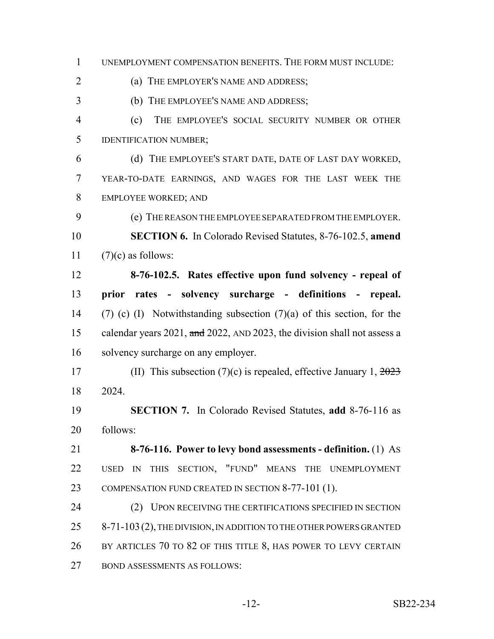UNEMPLOYMENT COMPENSATION BENEFITS. THE FORM MUST INCLUDE: (a) THE EMPLOYER'S NAME AND ADDRESS; (b) THE EMPLOYEE'S NAME AND ADDRESS; (c) THE EMPLOYEE'S SOCIAL SECURITY NUMBER OR OTHER IDENTIFICATION NUMBER; (d) THE EMPLOYEE'S START DATE, DATE OF LAST DAY WORKED, YEAR-TO-DATE EARNINGS, AND WAGES FOR THE LAST WEEK THE EMPLOYEE WORKED; AND (e) THE REASON THE EMPLOYEE SEPARATED FROM THE EMPLOYER. **SECTION 6.** In Colorado Revised Statutes, 8-76-102.5, **amend**  $(7)(c)$  as follows: **8-76-102.5. Rates effective upon fund solvency - repeal of prior rates - solvency surcharge - definitions - repeal.** (7) (c) (I) Notwithstanding subsection (7)(a) of this section, for the 15 calendar years 2021, and 2022, AND 2023, the division shall not assess a solvency surcharge on any employer. 17 (II) This subsection  $(7)(c)$  is repealed, effective January 1,  $\frac{2023}{c}$  2024. **SECTION 7.** In Colorado Revised Statutes, **add** 8-76-116 as follows: **8-76-116. Power to levy bond assessments - definition.** (1) AS USED IN THIS SECTION, "FUND" MEANS THE UNEMPLOYMENT 23 COMPENSATION FUND CREATED IN SECTION 8-77-101 (1). 24 (2) UPON RECEIVING THE CERTIFICATIONS SPECIFIED IN SECTION 25 8-71-103 (2), THE DIVISION, IN ADDITION TO THE OTHER POWERS GRANTED BY ARTICLES 70 TO 82 OF THIS TITLE 8, HAS POWER TO LEVY CERTAIN BOND ASSESSMENTS AS FOLLOWS: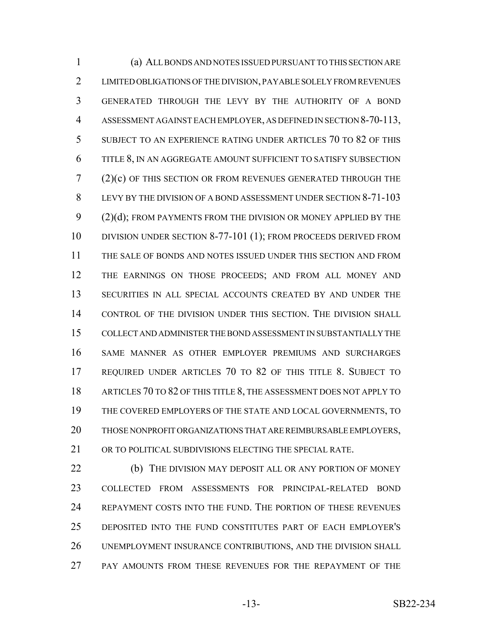(a) ALL BONDS AND NOTES ISSUED PURSUANT TO THIS SECTION ARE LIMITED OBLIGATIONS OF THE DIVISION, PAYABLE SOLELY FROM REVENUES GENERATED THROUGH THE LEVY BY THE AUTHORITY OF A BOND ASSESSMENT AGAINST EACH EMPLOYER, AS DEFINED IN SECTION 8-70-113, SUBJECT TO AN EXPERIENCE RATING UNDER ARTICLES 70 TO 82 OF THIS TITLE 8, IN AN AGGREGATE AMOUNT SUFFICIENT TO SATISFY SUBSECTION (2)(c) OF THIS SECTION OR FROM REVENUES GENERATED THROUGH THE LEVY BY THE DIVISION OF A BOND ASSESSMENT UNDER SECTION 8-71-103 9 (2)(d); FROM PAYMENTS FROM THE DIVISION OR MONEY APPLIED BY THE DIVISION UNDER SECTION 8-77-101 (1); FROM PROCEEDS DERIVED FROM THE SALE OF BONDS AND NOTES ISSUED UNDER THIS SECTION AND FROM THE EARNINGS ON THOSE PROCEEDS; AND FROM ALL MONEY AND SECURITIES IN ALL SPECIAL ACCOUNTS CREATED BY AND UNDER THE CONTROL OF THE DIVISION UNDER THIS SECTION. THE DIVISION SHALL COLLECT AND ADMINISTER THE BOND ASSESSMENT IN SUBSTANTIALLY THE SAME MANNER AS OTHER EMPLOYER PREMIUMS AND SURCHARGES REQUIRED UNDER ARTICLES 70 TO 82 OF THIS TITLE 8. SUBJECT TO ARTICLES 70 TO 82 OF THIS TITLE 8, THE ASSESSMENT DOES NOT APPLY TO THE COVERED EMPLOYERS OF THE STATE AND LOCAL GOVERNMENTS, TO THOSE NONPROFIT ORGANIZATIONS THAT ARE REIMBURSABLE EMPLOYERS, 21 OR TO POLITICAL SUBDIVISIONS ELECTING THE SPECIAL RATE.

 (b) THE DIVISION MAY DEPOSIT ALL OR ANY PORTION OF MONEY COLLECTED FROM ASSESSMENTS FOR PRINCIPAL-RELATED BOND REPAYMENT COSTS INTO THE FUND. THE PORTION OF THESE REVENUES DEPOSITED INTO THE FUND CONSTITUTES PART OF EACH EMPLOYER'S UNEMPLOYMENT INSURANCE CONTRIBUTIONS, AND THE DIVISION SHALL PAY AMOUNTS FROM THESE REVENUES FOR THE REPAYMENT OF THE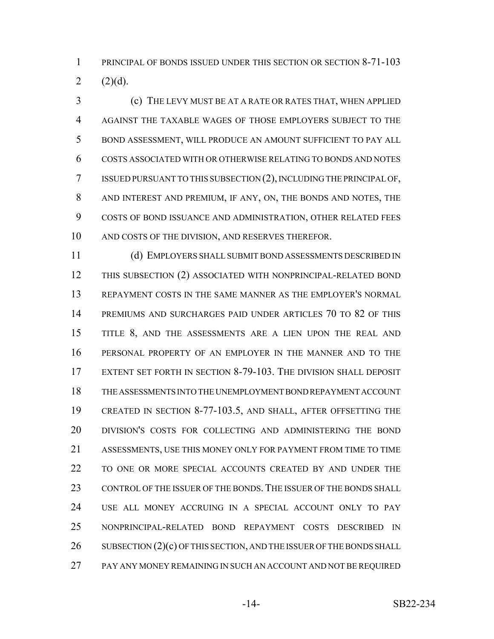1 PRINCIPAL OF BONDS ISSUED UNDER THIS SECTION OR SECTION 8-71-103 2  $(2)(d)$ .

 (c) THE LEVY MUST BE AT A RATE OR RATES THAT, WHEN APPLIED AGAINST THE TAXABLE WAGES OF THOSE EMPLOYERS SUBJECT TO THE BOND ASSESSMENT, WILL PRODUCE AN AMOUNT SUFFICIENT TO PAY ALL COSTS ASSOCIATED WITH OR OTHERWISE RELATING TO BONDS AND NOTES ISSUED PURSUANT TO THIS SUBSECTION (2), INCLUDING THE PRINCIPAL OF, AND INTEREST AND PREMIUM, IF ANY, ON, THE BONDS AND NOTES, THE COSTS OF BOND ISSUANCE AND ADMINISTRATION, OTHER RELATED FEES AND COSTS OF THE DIVISION, AND RESERVES THEREFOR.

 (d) EMPLOYERS SHALL SUBMIT BOND ASSESSMENTS DESCRIBED IN THIS SUBSECTION (2) ASSOCIATED WITH NONPRINCIPAL-RELATED BOND REPAYMENT COSTS IN THE SAME MANNER AS THE EMPLOYER'S NORMAL PREMIUMS AND SURCHARGES PAID UNDER ARTICLES 70 TO 82 OF THIS 15 TITLE 8, AND THE ASSESSMENTS ARE A LIEN UPON THE REAL AND PERSONAL PROPERTY OF AN EMPLOYER IN THE MANNER AND TO THE EXTENT SET FORTH IN SECTION 8-79-103. THE DIVISION SHALL DEPOSIT THE ASSESSMENTS INTO THE UNEMPLOYMENT BOND REPAYMENT ACCOUNT CREATED IN SECTION 8-77-103.5, AND SHALL, AFTER OFFSETTING THE DIVISION'S COSTS FOR COLLECTING AND ADMINISTERING THE BOND ASSESSMENTS, USE THIS MONEY ONLY FOR PAYMENT FROM TIME TO TIME TO ONE OR MORE SPECIAL ACCOUNTS CREATED BY AND UNDER THE 23 CONTROL OF THE ISSUER OF THE BONDS. THE ISSUER OF THE BONDS SHALL USE ALL MONEY ACCRUING IN A SPECIAL ACCOUNT ONLY TO PAY NONPRINCIPAL-RELATED BOND REPAYMENT COSTS DESCRIBED IN 26 SUBSECTION  $(2)(c)$  OF THIS SECTION, AND THE ISSUER OF THE BONDS SHALL PAY ANY MONEY REMAINING IN SUCH AN ACCOUNT AND NOT BE REQUIRED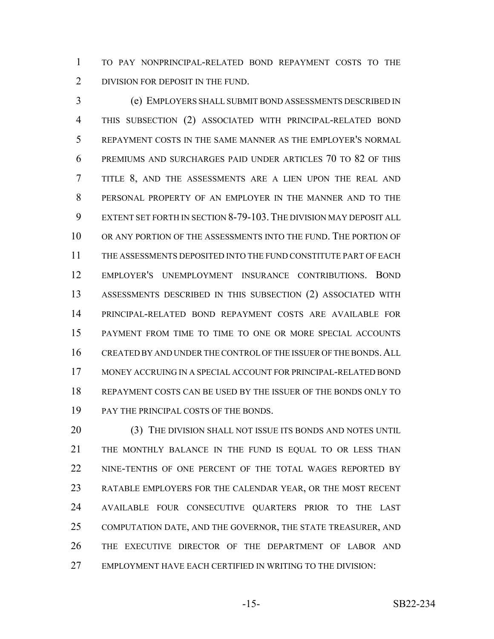TO PAY NONPRINCIPAL-RELATED BOND REPAYMENT COSTS TO THE 2 DIVISION FOR DEPOSIT IN THE FUND.

 (e) EMPLOYERS SHALL SUBMIT BOND ASSESSMENTS DESCRIBED IN THIS SUBSECTION (2) ASSOCIATED WITH PRINCIPAL-RELATED BOND REPAYMENT COSTS IN THE SAME MANNER AS THE EMPLOYER'S NORMAL PREMIUMS AND SURCHARGES PAID UNDER ARTICLES 70 TO 82 OF THIS TITLE 8, AND THE ASSESSMENTS ARE A LIEN UPON THE REAL AND PERSONAL PROPERTY OF AN EMPLOYER IN THE MANNER AND TO THE EXTENT SET FORTH IN SECTION 8-79-103.THE DIVISION MAY DEPOSIT ALL 10 OR ANY PORTION OF THE ASSESSMENTS INTO THE FUND. THE PORTION OF THE ASSESSMENTS DEPOSITED INTO THE FUND CONSTITUTE PART OF EACH EMPLOYER'S UNEMPLOYMENT INSURANCE CONTRIBUTIONS. BOND ASSESSMENTS DESCRIBED IN THIS SUBSECTION (2) ASSOCIATED WITH PRINCIPAL-RELATED BOND REPAYMENT COSTS ARE AVAILABLE FOR PAYMENT FROM TIME TO TIME TO ONE OR MORE SPECIAL ACCOUNTS CREATED BY AND UNDER THE CONTROL OF THE ISSUER OF THE BONDS.ALL MONEY ACCRUING IN A SPECIAL ACCOUNT FOR PRINCIPAL-RELATED BOND REPAYMENT COSTS CAN BE USED BY THE ISSUER OF THE BONDS ONLY TO PAY THE PRINCIPAL COSTS OF THE BONDS.

20 (3) THE DIVISION SHALL NOT ISSUE ITS BONDS AND NOTES UNTIL THE MONTHLY BALANCE IN THE FUND IS EQUAL TO OR LESS THAN 22 NINE-TENTHS OF ONE PERCENT OF THE TOTAL WAGES REPORTED BY RATABLE EMPLOYERS FOR THE CALENDAR YEAR, OR THE MOST RECENT AVAILABLE FOUR CONSECUTIVE QUARTERS PRIOR TO THE LAST COMPUTATION DATE, AND THE GOVERNOR, THE STATE TREASURER, AND THE EXECUTIVE DIRECTOR OF THE DEPARTMENT OF LABOR AND EMPLOYMENT HAVE EACH CERTIFIED IN WRITING TO THE DIVISION: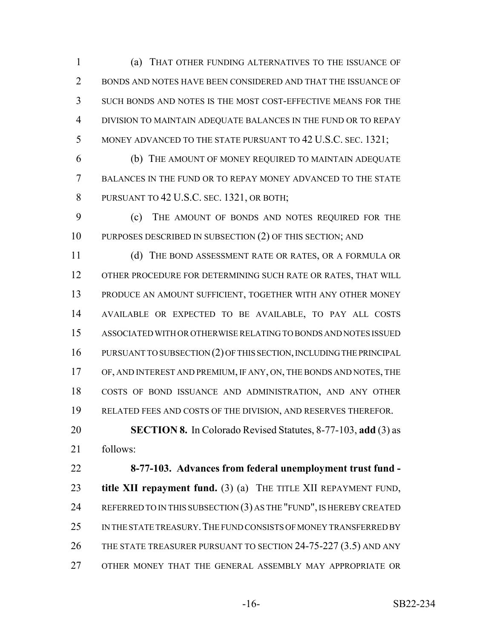(a) THAT OTHER FUNDING ALTERNATIVES TO THE ISSUANCE OF BONDS AND NOTES HAVE BEEN CONSIDERED AND THAT THE ISSUANCE OF SUCH BONDS AND NOTES IS THE MOST COST-EFFECTIVE MEANS FOR THE DIVISION TO MAINTAIN ADEQUATE BALANCES IN THE FUND OR TO REPAY 5 MONEY ADVANCED TO THE STATE PURSUANT TO 42 U.S.C. SEC. 1321;

 (b) THE AMOUNT OF MONEY REQUIRED TO MAINTAIN ADEQUATE BALANCES IN THE FUND OR TO REPAY MONEY ADVANCED TO THE STATE 8 PURSUANT TO 42 U.S.C. SEC. 1321, OR BOTH;

 (c) THE AMOUNT OF BONDS AND NOTES REQUIRED FOR THE 10 PURPOSES DESCRIBED IN SUBSECTION (2) OF THIS SECTION; AND

 (d) THE BOND ASSESSMENT RATE OR RATES, OR A FORMULA OR 12 OTHER PROCEDURE FOR DETERMINING SUCH RATE OR RATES, THAT WILL PRODUCE AN AMOUNT SUFFICIENT, TOGETHER WITH ANY OTHER MONEY AVAILABLE OR EXPECTED TO BE AVAILABLE, TO PAY ALL COSTS ASSOCIATED WITH OR OTHERWISE RELATING TO BONDS AND NOTES ISSUED PURSUANT TO SUBSECTION (2) OF THIS SECTION, INCLUDING THE PRINCIPAL OF, AND INTEREST AND PREMIUM, IF ANY, ON, THE BONDS AND NOTES, THE COSTS OF BOND ISSUANCE AND ADMINISTRATION, AND ANY OTHER RELATED FEES AND COSTS OF THE DIVISION, AND RESERVES THEREFOR.

 **SECTION 8.** In Colorado Revised Statutes, 8-77-103, **add** (3) as follows:

 **8-77-103. Advances from federal unemployment trust fund - title XII repayment fund.** (3) (a) THE TITLE XII REPAYMENT FUND, 24 REFERRED TO IN THIS SUBSECTION  $(3)$  as the "fund", is hereby created 25 IN THE STATE TREASURY. THE FUND CONSISTS OF MONEY TRANSFERRED BY THE STATE TREASURER PURSUANT TO SECTION 24-75-227 (3.5) AND ANY OTHER MONEY THAT THE GENERAL ASSEMBLY MAY APPROPRIATE OR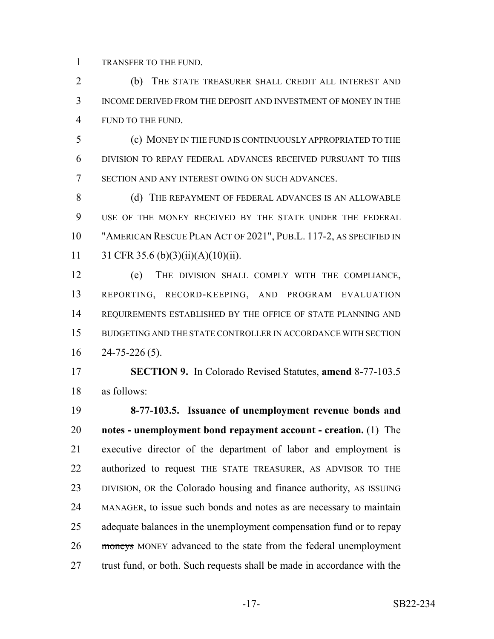TRANSFER TO THE FUND.

 (b) THE STATE TREASURER SHALL CREDIT ALL INTEREST AND INCOME DERIVED FROM THE DEPOSIT AND INVESTMENT OF MONEY IN THE FUND TO THE FUND.

 (c) MONEY IN THE FUND IS CONTINUOUSLY APPROPRIATED TO THE DIVISION TO REPAY FEDERAL ADVANCES RECEIVED PURSUANT TO THIS SECTION AND ANY INTEREST OWING ON SUCH ADVANCES.

8 (d) THE REPAYMENT OF FEDERAL ADVANCES IS AN ALLOWABLE USE OF THE MONEY RECEIVED BY THE STATE UNDER THE FEDERAL "AMERICAN RESCUE PLAN ACT OF 2021", PUB.L. 117-2, AS SPECIFIED IN 11 31 CFR 35.6 (b)(3)(ii)(A)(10)(ii).

 (e) THE DIVISION SHALL COMPLY WITH THE COMPLIANCE, REPORTING, RECORD-KEEPING, AND PROGRAM EVALUATION 14 REQUIREMENTS ESTABLISHED BY THE OFFICE OF STATE PLANNING AND BUDGETING AND THE STATE CONTROLLER IN ACCORDANCE WITH SECTION 24-75-226 (5).

 **SECTION 9.** In Colorado Revised Statutes, **amend** 8-77-103.5 as follows:

 **8-77-103.5. Issuance of unemployment revenue bonds and notes - unemployment bond repayment account - creation.** (1) The executive director of the department of labor and employment is authorized to request THE STATE TREASURER, AS ADVISOR TO THE DIVISION, OR the Colorado housing and finance authority, AS ISSUING MANAGER, to issue such bonds and notes as are necessary to maintain adequate balances in the unemployment compensation fund or to repay 26 moneys MONEY advanced to the state from the federal unemployment 27 trust fund, or both. Such requests shall be made in accordance with the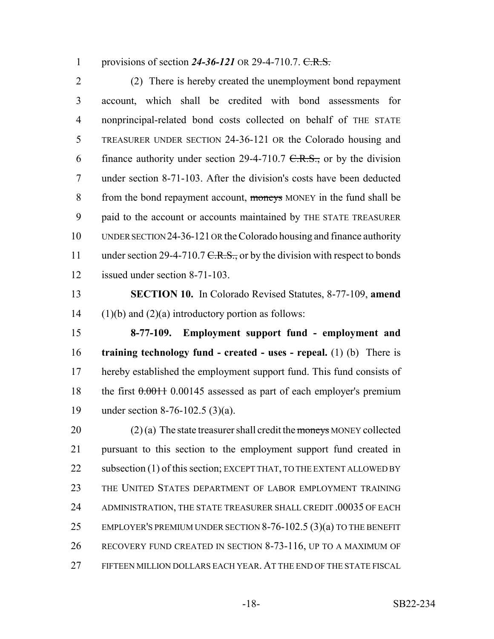1 provisions of section 24-36-121 OR 29-4-710.7. C.R.S.

 (2) There is hereby created the unemployment bond repayment account, which shall be credited with bond assessments for nonprincipal-related bond costs collected on behalf of THE STATE TREASURER UNDER SECTION 24-36-121 OR the Colorado housing and 6 finance authority under section 29-4-710.7  $C.R.S.,$  or by the division under section 8-71-103. After the division's costs have been deducted 8 from the bond repayment account, moneys MONEY in the fund shall be paid to the account or accounts maintained by THE STATE TREASURER UNDER SECTION 24-36-121 OR the Colorado housing and finance authority 11 under section 29-4-710.7  $C.R.S.,$  or by the division with respect to bonds issued under section 8-71-103.

 **SECTION 10.** In Colorado Revised Statutes, 8-77-109, **amend** 14  $(1)(b)$  and  $(2)(a)$  introductory portion as follows:

 **8-77-109. Employment support fund - employment and training technology fund - created - uses - repeal.** (1) (b) There is hereby established the employment support fund. This fund consists of 18 the first  $0.00145$  assessed as part of each employer's premium under section 8-76-102.5 (3)(a).

20 (2) (a) The state treasurer shall credit the moneys MONEY collected pursuant to this section to the employment support fund created in 22 subsection (1) of this section; EXCEPT THAT, TO THE EXTENT ALLOWED BY THE UNITED STATES DEPARTMENT OF LABOR EMPLOYMENT TRAINING 24 ADMINISTRATION, THE STATE TREASURER SHALL CREDIT .00035 OF EACH 25 EMPLOYER'S PREMIUM UNDER SECTION 8-76-102.5 (3)(a) TO THE BENEFIT RECOVERY FUND CREATED IN SECTION 8-73-116, UP TO A MAXIMUM OF FIFTEEN MILLION DOLLARS EACH YEAR. AT THE END OF THE STATE FISCAL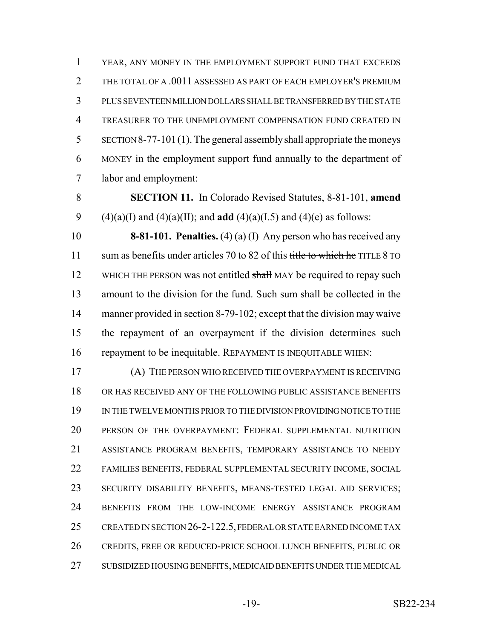YEAR, ANY MONEY IN THE EMPLOYMENT SUPPORT FUND THAT EXCEEDS 2 THE TOTAL OF A .0011 ASSESSED AS PART OF EACH EMPLOYER'S PREMIUM PLUS SEVENTEEN MILLION DOLLARS SHALL BE TRANSFERRED BY THE STATE TREASURER TO THE UNEMPLOYMENT COMPENSATION FUND CREATED IN SECTION 8-77-101(1). The general assembly shall appropriate the moneys MONEY in the employment support fund annually to the department of labor and employment:

 **SECTION 11.** In Colorado Revised Statutes, 8-81-101, **amend** 9 (4)(a)(I) and (4)(a)(II); and **add** (4)(a)(I.5) and (4)(e) as follows:

 **8-81-101. Penalties.** (4) (a) (I) Any person who has received any 11 sum as benefits under articles 70 to 82 of this title to which he TITLE 8 TO 12 WHICH THE PERSON was not entitled shall MAY be required to repay such amount to the division for the fund. Such sum shall be collected in the 14 manner provided in section 8-79-102; except that the division may waive the repayment of an overpayment if the division determines such repayment to be inequitable. REPAYMENT IS INEQUITABLE WHEN:

 (A) THE PERSON WHO RECEIVED THE OVERPAYMENT IS RECEIVING OR HAS RECEIVED ANY OF THE FOLLOWING PUBLIC ASSISTANCE BENEFITS IN THE TWELVE MONTHS PRIOR TO THE DIVISION PROVIDING NOTICE TO THE PERSON OF THE OVERPAYMENT: FEDERAL SUPPLEMENTAL NUTRITION ASSISTANCE PROGRAM BENEFITS, TEMPORARY ASSISTANCE TO NEEDY FAMILIES BENEFITS, FEDERAL SUPPLEMENTAL SECURITY INCOME, SOCIAL SECURITY DISABILITY BENEFITS, MEANS-TESTED LEGAL AID SERVICES; BENEFITS FROM THE LOW-INCOME ENERGY ASSISTANCE PROGRAM 25 CREATED IN SECTION 26-2-122.5, FEDERAL OR STATE EARNED INCOME TAX CREDITS, FREE OR REDUCED-PRICE SCHOOL LUNCH BENEFITS, PUBLIC OR SUBSIDIZED HOUSING BENEFITS, MEDICAID BENEFITS UNDER THE MEDICAL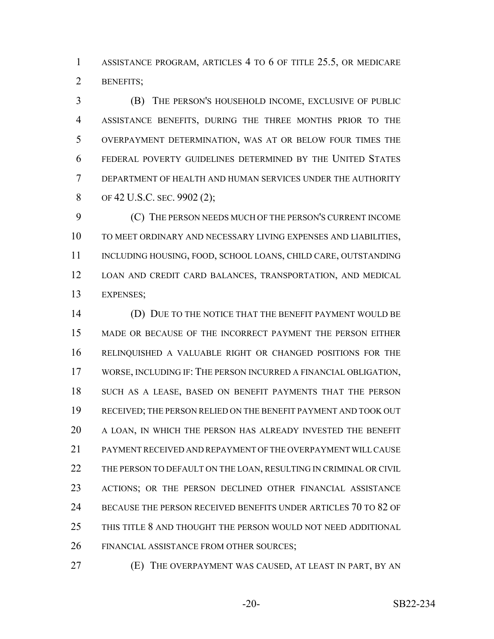ASSISTANCE PROGRAM, ARTICLES 4 TO 6 OF TITLE 25.5, OR MEDICARE BENEFITS;

 (B) THE PERSON'S HOUSEHOLD INCOME, EXCLUSIVE OF PUBLIC ASSISTANCE BENEFITS, DURING THE THREE MONTHS PRIOR TO THE OVERPAYMENT DETERMINATION, WAS AT OR BELOW FOUR TIMES THE FEDERAL POVERTY GUIDELINES DETERMINED BY THE UNITED STATES DEPARTMENT OF HEALTH AND HUMAN SERVICES UNDER THE AUTHORITY 8 OF 42 U.S.C. SEC. 9902 (2);

 (C) THE PERSON NEEDS MUCH OF THE PERSON'S CURRENT INCOME TO MEET ORDINARY AND NECESSARY LIVING EXPENSES AND LIABILITIES, 11 INCLUDING HOUSING, FOOD, SCHOOL LOANS, CHILD CARE, OUTSTANDING LOAN AND CREDIT CARD BALANCES, TRANSPORTATION, AND MEDICAL EXPENSES;

 (D) DUE TO THE NOTICE THAT THE BENEFIT PAYMENT WOULD BE MADE OR BECAUSE OF THE INCORRECT PAYMENT THE PERSON EITHER RELINQUISHED A VALUABLE RIGHT OR CHANGED POSITIONS FOR THE WORSE, INCLUDING IF: THE PERSON INCURRED A FINANCIAL OBLIGATION, SUCH AS A LEASE, BASED ON BENEFIT PAYMENTS THAT THE PERSON RECEIVED; THE PERSON RELIED ON THE BENEFIT PAYMENT AND TOOK OUT A LOAN, IN WHICH THE PERSON HAS ALREADY INVESTED THE BENEFIT PAYMENT RECEIVED AND REPAYMENT OF THE OVERPAYMENT WILL CAUSE 22 THE PERSON TO DEFAULT ON THE LOAN, RESULTING IN CRIMINAL OR CIVIL ACTIONS; OR THE PERSON DECLINED OTHER FINANCIAL ASSISTANCE 24 BECAUSE THE PERSON RECEIVED BENEFITS UNDER ARTICLES 70 TO 82 OF THIS TITLE 8 AND THOUGHT THE PERSON WOULD NOT NEED ADDITIONAL 26 FINANCIAL ASSISTANCE FROM OTHER SOURCES;

(E) THE OVERPAYMENT WAS CAUSED, AT LEAST IN PART, BY AN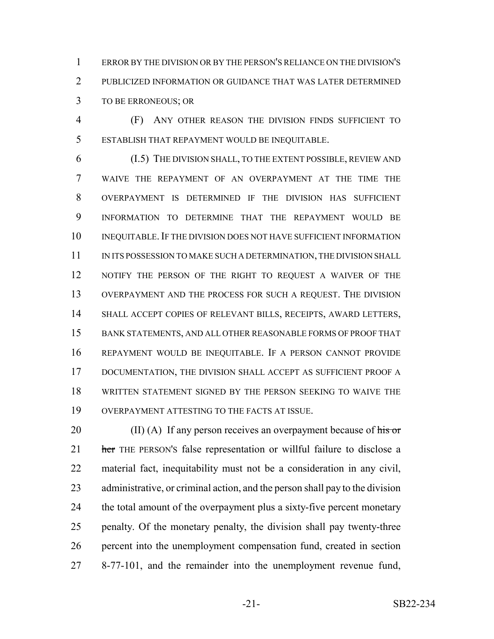ERROR BY THE DIVISION OR BY THE PERSON'S RELIANCE ON THE DIVISION'S PUBLICIZED INFORMATION OR GUIDANCE THAT WAS LATER DETERMINED TO BE ERRONEOUS; OR

 (F) ANY OTHER REASON THE DIVISION FINDS SUFFICIENT TO ESTABLISH THAT REPAYMENT WOULD BE INEQUITABLE.

 (I.5) THE DIVISION SHALL, TO THE EXTENT POSSIBLE, REVIEW AND WAIVE THE REPAYMENT OF AN OVERPAYMENT AT THE TIME THE OVERPAYMENT IS DETERMINED IF THE DIVISION HAS SUFFICIENT INFORMATION TO DETERMINE THAT THE REPAYMENT WOULD BE INEQUITABLE.IF THE DIVISION DOES NOT HAVE SUFFICIENT INFORMATION 11 IN ITS POSSESSION TO MAKE SUCH A DETERMINATION, THE DIVISION SHALL NOTIFY THE PERSON OF THE RIGHT TO REQUEST A WAIVER OF THE OVERPAYMENT AND THE PROCESS FOR SUCH A REQUEST. THE DIVISION SHALL ACCEPT COPIES OF RELEVANT BILLS, RECEIPTS, AWARD LETTERS, BANK STATEMENTS, AND ALL OTHER REASONABLE FORMS OF PROOF THAT REPAYMENT WOULD BE INEQUITABLE. IF A PERSON CANNOT PROVIDE DOCUMENTATION, THE DIVISION SHALL ACCEPT AS SUFFICIENT PROOF A WRITTEN STATEMENT SIGNED BY THE PERSON SEEKING TO WAIVE THE OVERPAYMENT ATTESTING TO THE FACTS AT ISSUE.

 $\qquad$  (II) (A) If any person receives an overpayment because of his or 21 her THE PERSON's false representation or willful failure to disclose a material fact, inequitability must not be a consideration in any civil, administrative, or criminal action, and the person shall pay to the division 24 the total amount of the overpayment plus a sixty-five percent monetary penalty. Of the monetary penalty, the division shall pay twenty-three percent into the unemployment compensation fund, created in section 8-77-101, and the remainder into the unemployment revenue fund,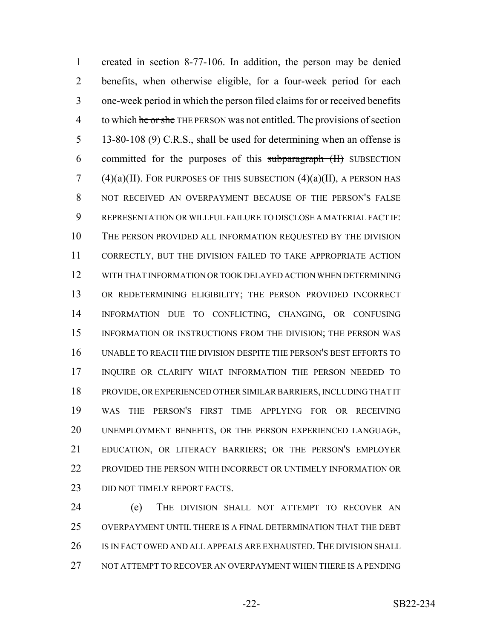created in section 8-77-106. In addition, the person may be denied benefits, when otherwise eligible, for a four-week period for each one-week period in which the person filed claims for or received benefits 4 to which he or she THE PERSON was not entitled. The provisions of section 5 13-80-108 (9)  $C.R.S.,$  shall be used for determining when an offense is 6 committed for the purposes of this subparagraph (II) SUBSECTION 7 (4)(a)(II). FOR PURPOSES OF THIS SUBSECTION  $(4)(a)(II)$ , A PERSON HAS NOT RECEIVED AN OVERPAYMENT BECAUSE OF THE PERSON'S FALSE REPRESENTATION OR WILLFUL FAILURE TO DISCLOSE A MATERIAL FACT IF: THE PERSON PROVIDED ALL INFORMATION REQUESTED BY THE DIVISION CORRECTLY, BUT THE DIVISION FAILED TO TAKE APPROPRIATE ACTION WITH THAT INFORMATION OR TOOK DELAYED ACTION WHEN DETERMINING OR REDETERMINING ELIGIBILITY; THE PERSON PROVIDED INCORRECT INFORMATION DUE TO CONFLICTING, CHANGING, OR CONFUSING INFORMATION OR INSTRUCTIONS FROM THE DIVISION; THE PERSON WAS UNABLE TO REACH THE DIVISION DESPITE THE PERSON'S BEST EFFORTS TO INQUIRE OR CLARIFY WHAT INFORMATION THE PERSON NEEDED TO PROVIDE, OR EXPERIENCED OTHER SIMILAR BARRIERS, INCLUDING THAT IT WAS THE PERSON'S FIRST TIME APPLYING FOR OR RECEIVING UNEMPLOYMENT BENEFITS, OR THE PERSON EXPERIENCED LANGUAGE, EDUCATION, OR LITERACY BARRIERS; OR THE PERSON'S EMPLOYER 22 PROVIDED THE PERSON WITH INCORRECT OR UNTIMELY INFORMATION OR 23 DID NOT TIMELY REPORT FACTS.

 (e) THE DIVISION SHALL NOT ATTEMPT TO RECOVER AN OVERPAYMENT UNTIL THERE IS A FINAL DETERMINATION THAT THE DEBT 26 IS IN FACT OWED AND ALL APPEALS ARE EXHAUSTED. THE DIVISION SHALL NOT ATTEMPT TO RECOVER AN OVERPAYMENT WHEN THERE IS A PENDING